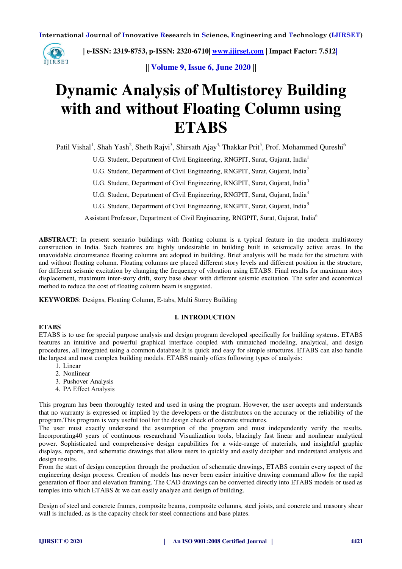

 **| e-ISSN: 2319-8753, p-ISSN: 2320-6710| [www.ijirset.com](http://www.ijirset.com/) | Impact Factor: 7.512|**

**|| Volume 9, Issue 6, June 2020 ||** 

# **Dynamic Analysis of Multistorey Building with and without Floating Column using ETABS**

Patil Vishal<sup>1</sup>, Shah Yash<sup>2</sup>, Sheth Rajvi<sup>3</sup>, Shirsath Ajay<sup>4,</sup> Thakkar Prit<sup>5</sup>, Prof. Mohammed Qureshi<sup>6</sup>

U.G. Student, Department of Civil Engineering, RNGPIT, Surat, Gujarat, India<sup>1</sup>

U.G. Student, Department of Civil Engineering, RNGPIT, Surat, Gujarat, India<sup>2</sup>

U.G. Student, Department of Civil Engineering, RNGPIT, Surat, Gujarat, India<sup>3</sup>

U.G. Student, Department of Civil Engineering, RNGPIT, Surat, Gujarat, India<sup>4</sup>

U.G. Student, Department of Civil Engineering, RNGPIT, Surat, Gujarat, India<sup>5</sup>

Assistant Professor, Department of Civil Engineering, RNGPIT, Surat, Gujarat, India<sup>6</sup>

**ABSTRACT**: In present scenario buildings with floating column is a typical feature in the modern multistorey construction in India. Such features are highly undesirable in building built in seismically active areas. In the unavoidable circumstance floating columns are adopted in building. Brief analysis will be made for the structure with and without floating column. Floating columns are placed different story levels and different position in the structure, for different seismic excitation by changing the frequency of vibration using ETABS. Final results for maximum story displacement, maximum inter-story drift, story base shear with different seismic excitation. The safer and economical method to reduce the cost of floating column beam is suggested.

**KEYWORDS**: Designs, Floating Column, E-tabs, Multi Storey Building

## **I. INTRODUCTION**

#### **ETABS**

ETABS is to use for special purpose analysis and design program developed specifically for building systems. ETABS features an intuitive and powerful graphical interface coupled with unmatched modeling, analytical, and design procedures, all integrated using a common database.It is quick and easy for simple structures. ETABS can also handle the largest and most complex building models. ETABS mainly offers following types of analysis:

- 1. Linear
- 2. Nonlinear
- 3. Pushover Analysis
- 4. PΔ Effect Analysis

This program has been thoroughly tested and used in using the program. However, the user accepts and understands that no warranty is expressed or implied by the developers or the distributors on the accuracy or the reliability of the program.This program is very useful tool for the design check of concrete structures.

The user must exactly understand the assumption of the program and must independently verify the results. Incorporating40 years of continuous researchand Visualization tools, blazingly fast linear and nonlinear analytical power. Sophisticated and comprehensive design capabilities for a wide-range of materials, and insightful graphic displays, reports, and schematic drawings that allow users to quickly and easily decipher and understand analysis and design results.

From the start of design conception through the production of schematic drawings, ETABS contain every aspect of the engineering design process. Creation of models has never been easier intuitive drawing command allow for the rapid generation of floor and elevation framing. The CAD drawings can be converted directly into ETABS models or used as temples into which ETABS & we can easily analyze and design of building.

Design of steel and concrete frames, composite beams, composite columns, steel joists, and concrete and masonry shear wall is included, as is the capacity check for steel connections and base plates.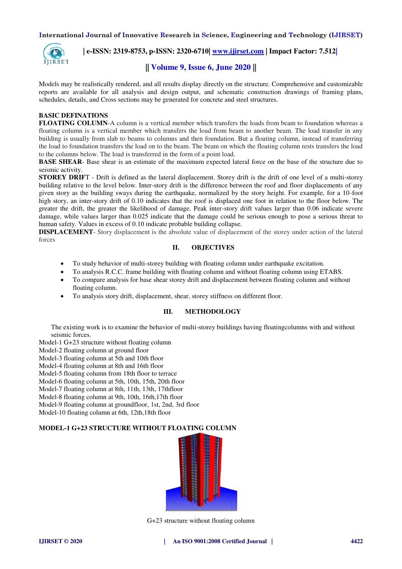

## **| e-ISSN: 2319-8753, p-ISSN: 2320-6710| [www.ijirset.com](http://www.ijirset.com/) | Impact Factor: 7.512|**

# **|| Volume 9, Issue 6, June 2020 ||**

Models may be realistically rendered, and all results display directly on the structure. Comprehensive and customizable reports are available for all analysis and design output, and schematic construction drawings of framing plans, schedules, details, and Cross sections may be generated for concrete and steel structures.

#### **BASIC DEFINATIONS**

**FLOATING COLUMN-A** column is a vertical member which transfers the loads from beam to foundation whereas a floating column is a vertical member which transfers the load from beam to another beam. The load transfer in any building is usually from slab to beams to columns and then foundation. But a floating column, instead of transferring the load to foundation transfers the load on to the beam. The beam on which the floating column rests transfers the load to the columns below. The load is transferred in the form of a point load.

**BASE SHEAR**- Base shear is an estimate of the maximum expected lateral force on the base of the structure due to seismic activity.

**STOREY DRIFT** - Drift is defined as the lateral displacement. Storey drift is the drift of one level of a multi-storey building relative to the level below. Inter-story drift is the difference between the roof and floor displacements of any given story as the building sways during the earthquake, normalized by the story height. For example, for a 10-foot high story, an inter-story drift of 0.10 indicates that the roof is displaced one foot in relation to the floor below. The greater the drift, the greater the likelihood of damage. Peak inter-story drift values larger than 0.06 indicate severe damage, while values larger than 0.025 indicate that the damage could be serious enough to pose a serious threat to human safety. Values in excess of 0.10 indicate probable building collapse.

**DISPLACEMENT**- Story displacement is the absolute value of displacement of the storey under action of the lateral forces

#### **II. OBJECTIVES**

- To study behavior of multi-storey building with floating column under earthquake excitation.
- To analysis R.C.C. frame building with floating column and without floating column using ETABS.
- To compare analysis for base shear storey drift and displacement between floating column and without floating column.
- To analysis story drift, displacement, shear, storey stiffness on different floor.

#### **III. METHODOLOGY**

The existing work is to examine the behavior of multi-storey buildings having floatingcolumns with and without seismic forces.

Model-1 G+23 structure without floating column

Model-2 floating column at ground floor

Model-3 floating column at 5th and 10th floor

Model-4 floating column at 8th and 16th floor

Model-5 floating column from 18th floor to terrace

Model-6 floating column at 5th, 10th, 15th, 20th floor

Model-7 floating column at 8th, 11th, 13th, 17thfloor

Model-8 floating column at 9th, 10th, 16th,17th floor

Model-9 floating column at groundfloor, 1st, 2nd, 3rd floor

Model-10 floating column at 6th, 12th,18th floor

#### **MODEL-1 G+23 STRUCTURE WITHOUT FLOATING COLUMN**



G+23 structure without floating column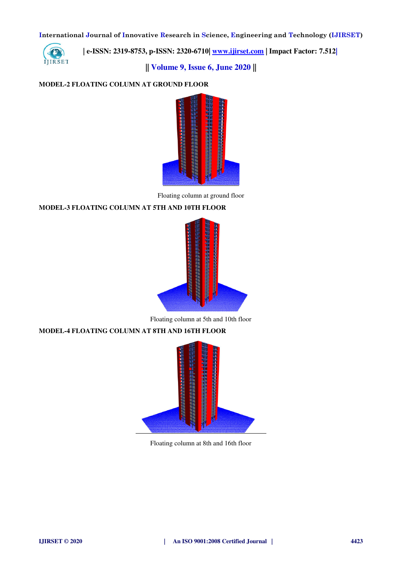

 **| e-ISSN: 2319-8753, p-ISSN: 2320-6710| [www.ijirset.com](http://www.ijirset.com/) | Impact Factor: 7.512|**

**|| Volume 9, Issue 6, June 2020 ||** 

## **MODEL-2 FLOATING COLUMN AT GROUND FLOOR**



Floating column at ground floor

#### **MODEL-3 FLOATING COLUMN AT 5TH AND 10TH FLOOR**



Floating column at 5th and 10th floor

## **MODEL-4 FLOATING COLUMN AT 8TH AND 16TH FLOOR**



Floating column at 8th and 16th floor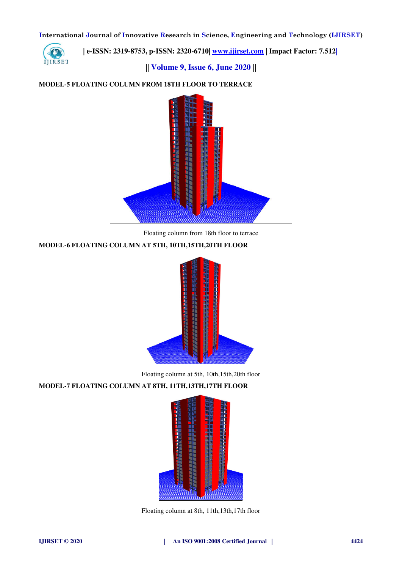

 **| e-ISSN: 2319-8753, p-ISSN: 2320-6710| [www.ijirset.com](http://www.ijirset.com/) | Impact Factor: 7.512|**

**|| Volume 9, Issue 6, June 2020 ||** 

# **MODEL-5 FLOATING COLUMN FROM 18TH FLOOR TO TERRACE**



Floating column from 18th floor to terrace

## **MODEL-6 FLOATING COLUMN AT 5TH, 10TH,15TH,20TH FLOOR**



Floating column at 5th, 10th,15th,20th floor

# **MODEL-7 FLOATING COLUMN AT 8TH, 11TH,13TH,17TH FLOOR**



Floating column at 8th, 11th,13th,17th floor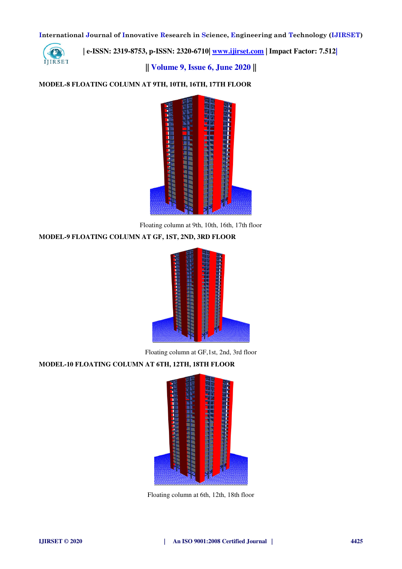

 **| e-ISSN: 2319-8753, p-ISSN: 2320-6710| [www.ijirset.com](http://www.ijirset.com/) | Impact Factor: 7.512|**

**|| Volume 9, Issue 6, June 2020 ||** 

# **MODEL-8 FLOATING COLUMN AT 9TH, 10TH, 16TH, 17TH FLOOR**



Floating column at 9th, 10th, 16th, 17th floor

## **MODEL-9 FLOATING COLUMN AT GF, 1ST, 2ND, 3RD FLOOR**



Floating column at GF,1st, 2nd, 3rd floor

## **MODEL-10 FLOATING COLUMN AT 6TH, 12TH, 18TH FLOOR**



Floating column at 6th, 12th, 18th floor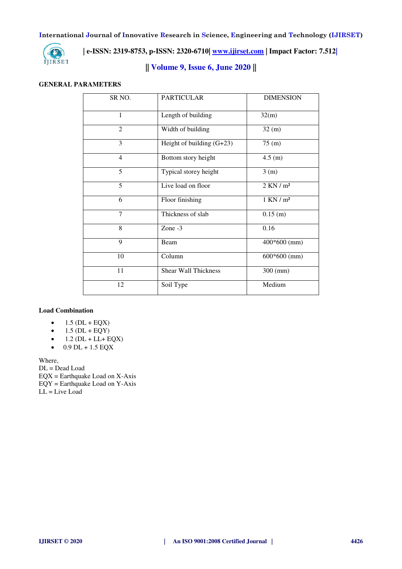

 **| e-ISSN: 2319-8753, p-ISSN: 2320-6710| [www.ijirset.com](http://www.ijirset.com/) | Impact Factor: 7.512|**

**|| Volume 9, Issue 6, June 2020 ||** 

#### **GENERAL PARAMETERS**

| SR <sub>NO</sub> .       | <b>PARTICULAR</b>           | <b>DIMENSION</b> |
|--------------------------|-----------------------------|------------------|
| $\mathbf{1}$             | Length of building          | 32(m)            |
| $\overline{2}$           | Width of building           | 32(m)            |
| 3                        | Height of building $(G+23)$ | 75 (m)           |
| $\overline{\mathcal{L}}$ | Bottom story height         | 4.5 (m)          |
| 5                        | Typical storey height       | 3(m)             |
| 5                        | Live load on floor          | $2$ KN $/m2$     |
| 6                        | Floor finishing             | $1$ KN $/m2$     |
| 7                        | Thickness of slab           | $0.15$ (m)       |
| 8                        | Zone $-3$                   | 0.16             |
| 9                        | Beam                        | $400*600$ (mm)   |
| 10                       | Column                      | $600*600$ (mm)   |
| 11                       | <b>Shear Wall Thickness</b> | $300$ (mm)       |
| 12                       | Soil Type                   | Medium           |

## **Load Combination**

- $\bullet$  1.5 (DL + EQX)
- $\bullet$  1.5 (DL + EQY)
- $\bullet$  1.2 (DL + LL+ EQX)
- $-0.9$  DL + 1.5 EQX

Where,

DL = Dead Load EQX = Earthquake Load on X-Axis EQY = Earthquake Load on Y-Axis  $LL = Live Load$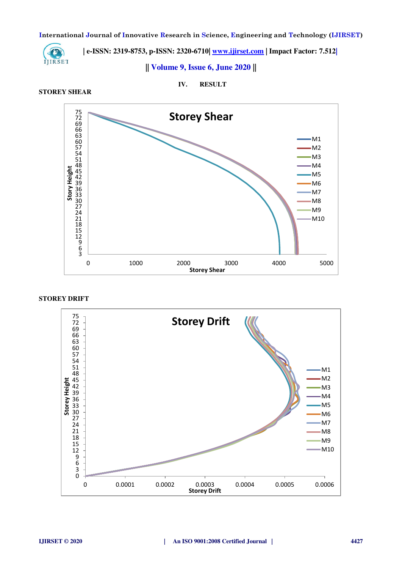

 **| e-ISSN: 2319-8753, p-ISSN: 2320-6710| www.ijirset.com | Impact Factor: 7.512|**<br>**IJIRSET** 

**|| Volume 9, Issue 6, June 2020 ||** 

**STOREY SHEAR** 

**IV. RESULT** 



#### **STOREY DRIFT**

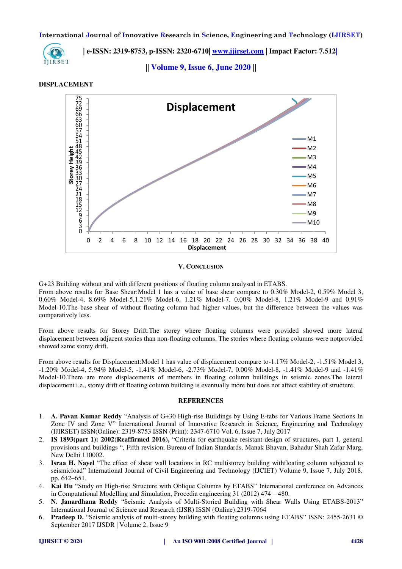

 **| e-ISSN: 2319-8753, p-ISSN: 2320-6710| [www.ijirset.com](http://www.ijirset.com/) | Impact Factor: 7.512|**

**|| Volume 9, Issue 6, June 2020 ||** 

#### **DISPLACEMENT**



#### **V. CONCLUSION**

G+23 Building without and with different positions of floating column analysed in ETABS.

From above results for Base Shear:Model 1 has a value of base shear compare to 0.30% Model-2, 0.59% Model 3, 0.60% Model-4, 8.69% Model-5,1.21% Model-6, 1.21% Model-7, 0.00% Model-8, 1.21% Model-9 and 0.91% Model-10.The base shear of without floating column had higher values, but the difference between the values was comparatively less.

From above results for Storey Drift:The storey where floating columns were provided showed more lateral displacement between adjacent stories than non-floating columns. The stories where floating columns were notprovided showed same storey drift.

From above results for Displacement:Model 1 has value of displacement compare to-1.17% Model-2, -1.51% Model 3, -1.20% Model-4, 5.94% Model-5, -1.41% Model-6, -2.73% Model-7, 0.00% Model-8, -1.41% Model-9 and -1.41% Model-10.There are more displacements of members in floating column buildings in seismic zones.The lateral displacement i.e., storey drift of floating column building is eventually more but does not affect stability of structure.

#### **REFERENCES**

- 1. **A. Pavan Kumar Reddy** "Analysis of G+30 High-rise Buildings by Using E-tabs for Various Frame Sections In Zone IV and Zone V" International Journal of Innovative Research in Science, Engineering and Technology (IJIRSET) ISSN(Online): 2319-8753 ISSN (Print): 2347-6710 Vol. 6, Issue 7, July 2017
- 2. **IS 1893(part 1): 2002**(**Reaffirmed 2016),** "Criteria for earthquake resistant design of structures, part 1, general provisions and buildings ", Fifth revision, Bureau of Indian Standards, Manak Bhavan, Bahadur Shah Zafar Marg, New Delhi 110002.
- 3. **Israa H. Nayel** "The effect of shear wall locations in RC multistorey building withfloating column subjected to seismicload" International Journal of Civil Engineering and Technology (IJCIET) Volume 9, Issue 7, July 2018, pp. 642–651.
- 4. **Kai Hu** "Study on High-rise Structure with Oblique Columns by ETABS" International conference on Advances in Computational Modelling and Simulation, Procedia engineering 31 (2012) 474 – 480.
- 5. **N. Janardhana Reddy** "Seismic Analysis of Multi-Storied Building with Shear Walls Using ETABS-2013" International Journal of Science and Research (IJSR) ISSN (Online):2319-7064
- 6. **Pradeep D.** "Seismic analysis of multi-storey building with floating columns using ETABS" ISSN: 2455-2631 © September 2017 IJSDR | Volume 2, Issue 9